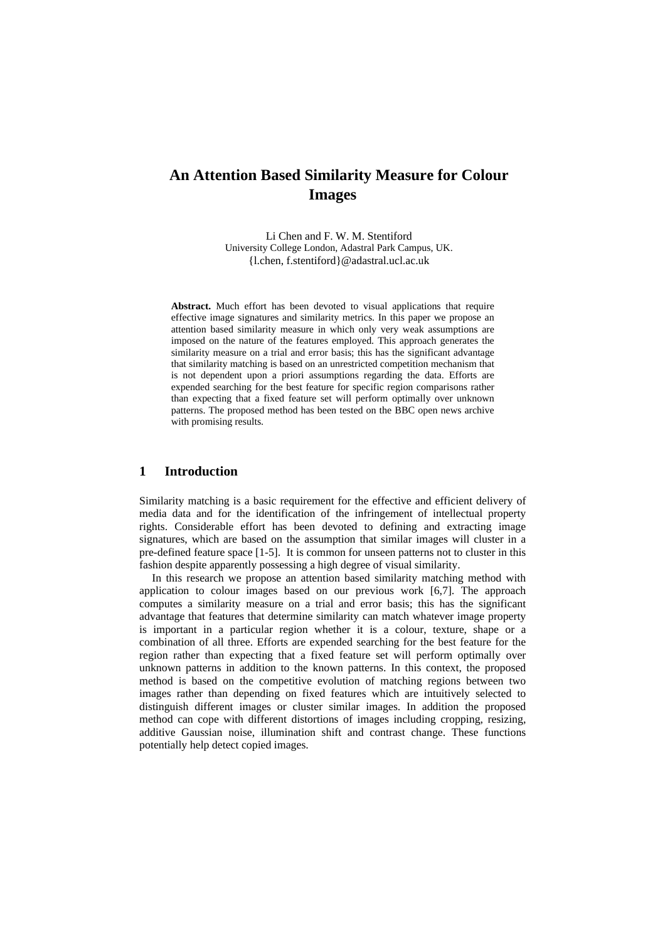Li Chen and F. W. M. Stentiford University College London, Adastral Park Campus, UK. {l.chen, f.stentiford}@adastral.ucl.ac.uk

**Abstract.** Much effort has been devoted to visual applications that require effective image signatures and similarity metrics. In this paper we propose an attention based similarity measure in which only very weak assumptions are imposed on the nature of the features employed. This approach generates the similarity measure on a trial and error basis; this has the significant advantage that similarity matching is based on an unrestricted competition mechanism that is not dependent upon a priori assumptions regarding the data. Efforts are expended searching for the best feature for specific region comparisons rather than expecting that a fixed feature set will perform optimally over unknown patterns. The proposed method has been tested on the BBC open news archive with promising results.

# **1 Introduction**

Similarity matching is a basic requirement for the effective and efficient delivery of media data and for the identification of the infringement of intellectual property rights. Considerable effort has been devoted to defining and extracting image signatures, which are based on the assumption that similar images will cluster in a pre-defined feature space [1-5]. It is common for unseen patterns not to cluster in this fashion despite apparently possessing a high degree of visual similarity.

In this research we propose an attention based similarity matching method with application to colour images based on our previous work [6,7]. The approach computes a similarity measure on a trial and error basis; this has the significant advantage that features that determine similarity can match whatever image property is important in a particular region whether it is a colour, texture, shape or a combination of all three. Efforts are expended searching for the best feature for the region rather than expecting that a fixed feature set will perform optimally over unknown patterns in addition to the known patterns. In this context, the proposed method is based on the competitive evolution of matching regions between two images rather than depending on fixed features which are intuitively selected to distinguish different images or cluster similar images. In addition the proposed method can cope with different distortions of images including cropping, resizing, additive Gaussian noise, illumination shift and contrast change. These functions potentially help detect copied images.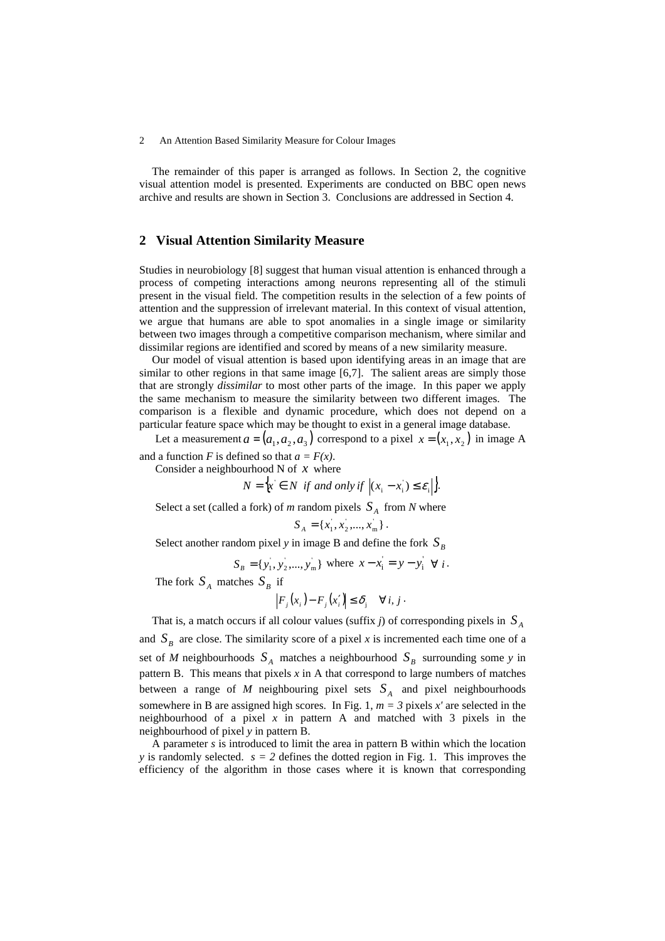The remainder of this paper is arranged as follows. In Section 2, the cognitive visual attention model is presented. Experiments are conducted on BBC open news archive and results are shown in Section 3. Conclusions are addressed in Section 4.

## **2 Visual Attention Similarity Measure**

Studies in neurobiology [8] suggest that human visual attention is enhanced through a process of competing interactions among neurons representing all of the stimuli present in the visual field. The competition results in the selection of a few points of attention and the suppression of irrelevant material. In this context of visual attention, we argue that humans are able to spot anomalies in a single image or similarity between two images through a competitive comparison mechanism, where similar and dissimilar regions are identified and scored by means of a new similarity measure.

Our model of visual attention is based upon identifying areas in an image that are similar to other regions in that same image [6,7]. The salient areas are simply those that are strongly *dissimilar* to most other parts of the image. In this paper we apply the same mechanism to measure the similarity between two different images. The comparison is a flexible and dynamic procedure, which does not depend on a particular feature space which may be thought to exist in a general image database.

Let a measurement  $a = (a_1, a_2, a_3)$  correspond to a pixel  $x = (x_1, x_2)$  in image A and a function *F* is defined so that  $a = F(x)$ .

Consider a neighbourhood N of *x* where

 $N = \{x \in N \text{ if and only if } |(x_i - x_i) \le \varepsilon_i\}.$ 

Select a set (called a fork) of *m* random pixels  $S_A$  from *N* where

$$
S_A = \{x_1, x_2, \dots, x_m\}.
$$

Select another random pixel *y* in image B and define the fork  $S_B$ 

$$
S_B = \{y_1, y_2, \dots, y_m\} \text{ where } x - x_i = y - y_i \quad \forall i.
$$

The fork  $S_A$  matches  $S_B$  if

$$
\left| F_j(x_i) - F_j(x_i') \right| \leq \delta_j \quad \forall i, j.
$$

That is, a match occurs if all colour values (suffix  $j$ ) of corresponding pixels in  $S_A$ and  $S_B$  are close. The similarity score of a pixel *x* is incremented each time one of a set of *M* neighbourhoods  $S_A$  matches a neighbourhood  $S_B$  surrounding some *y* in pattern B. This means that pixels  $x$  in A that correspond to large numbers of matches between a range of  $M$  neighbouring pixel sets  $S_A$  and pixel neighbourhoods somewhere in B are assigned high scores. In Fig. 1,  $m = 3$  pixels  $x'$  are selected in the neighbourhood of a pixel  $x$  in pattern A and matched with 3 pixels in the neighbourhood of pixel *y* in pattern B.

A parameter *s* is introduced to limit the area in pattern B within which the location *y* is randomly selected.  $s = 2$  defines the dotted region in Fig. 1. This improves the efficiency of the algorithm in those cases where it is known that corresponding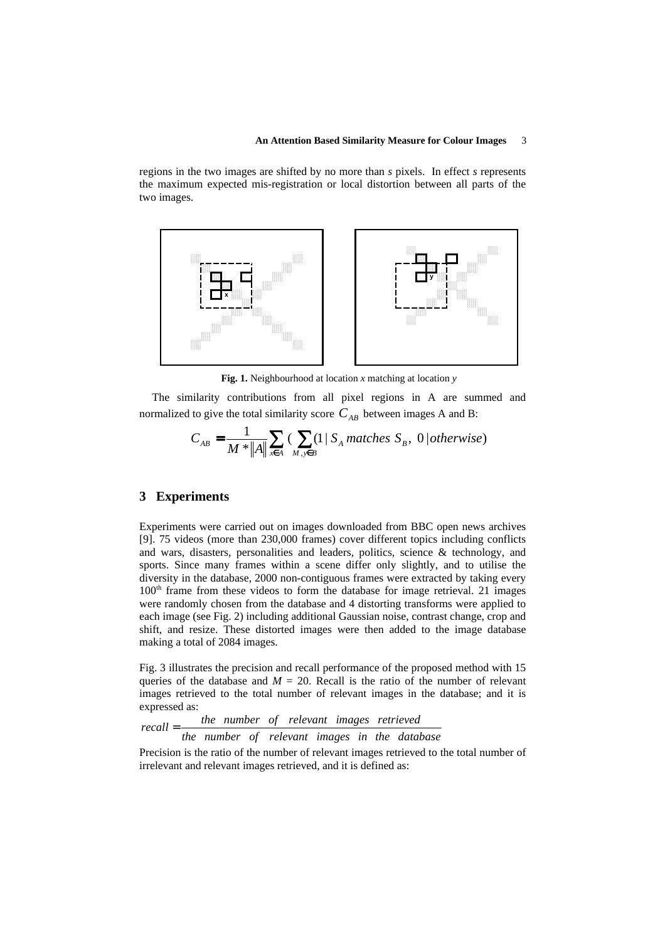regions in the two images are shifted by no more than *s* pixels. In effect *s* represents the maximum expected mis-registration or local distortion between all parts of the two images.



**Fig. 1.** Neighbourhood at location *x* matching at location *y*

The similarity contributions from all pixel regions in A are summed and normalized to give the total similarity score  $C_{AB}$  between images A and B:

$$
C_{AB} = \frac{1}{M \cdot \|A\|} \sum_{x \in A} \left( \sum_{M, y \in B} (1 \mid S_A \text{ matches } S_B, 0 \mid otherwise \right)
$$

## **3 Experiments**

Experiments were carried out on images downloaded from BBC open news archives [9]. 75 videos (more than 230,000 frames) cover different topics including conflicts and wars, disasters, personalities and leaders, politics, science  $\&$  technology, and sports. Since many frames within a scene differ only slightly, and to utilise the diversity in the database, 2000 non-contiguous frames were extracted by taking every 100<sup>th</sup> frame from these videos to form the database for image retrieval. 21 images were randomly chosen from the database and 4 distorting transforms were applied to each image (see Fig. 2) including additional Gaussian noise, contrast change, crop and shift, and resize. These distorted images were then added to the image database making a total of 2084 images.

Fig. 3 illustrates the precision and recall performance of the proposed method with 15 queries of the database and  $M = 20$ . Recall is the ratio of the number of relevant images retrieved to the total number of relevant images in the database; and it is expressed as:

$$
recall = \frac{the \ number \ of \ relevant \ images \ retrieved}{the \ number \ of \ relevant \ images \ in \ the \ database}
$$

Precision is the ratio of the number of relevant images retrieved to the total number of irrelevant and relevant images retrieved, and it is defined as: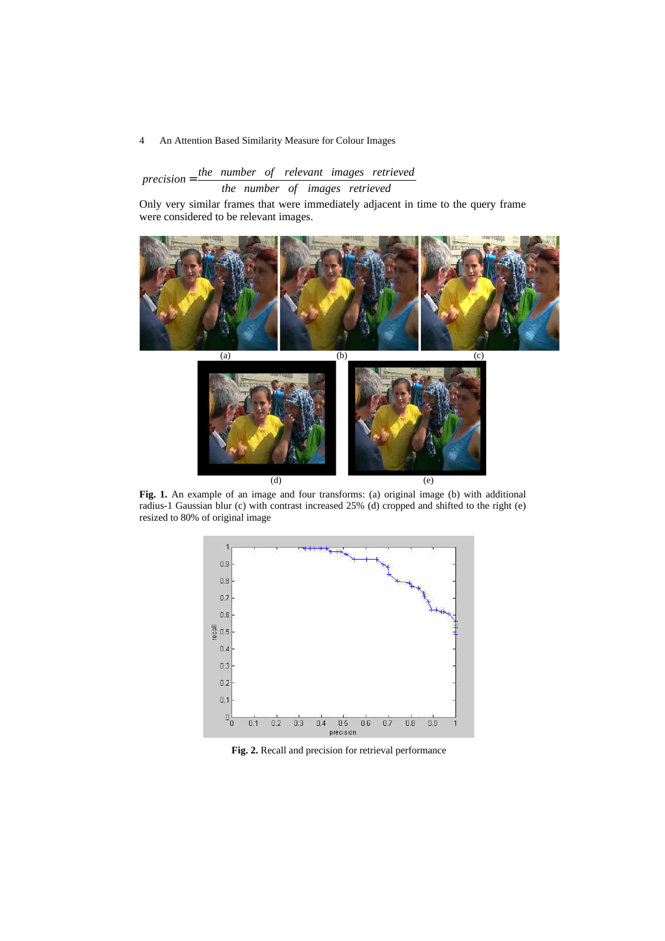# *the number of relevant images retrieved the number of images retrieved*

Only very similar frames that were immediately adjacent in time to the query frame were considered to be relevant images.



**Fig. 1.** An example of an image and four transforms: (a) original image (b) with additional radius-1 Gaussian blur (c) with contrast increased 25% (d) cropped and shifted to the right (e) resized to 80% of original image



**Fig. 2.** Recall and precision for retrieval performance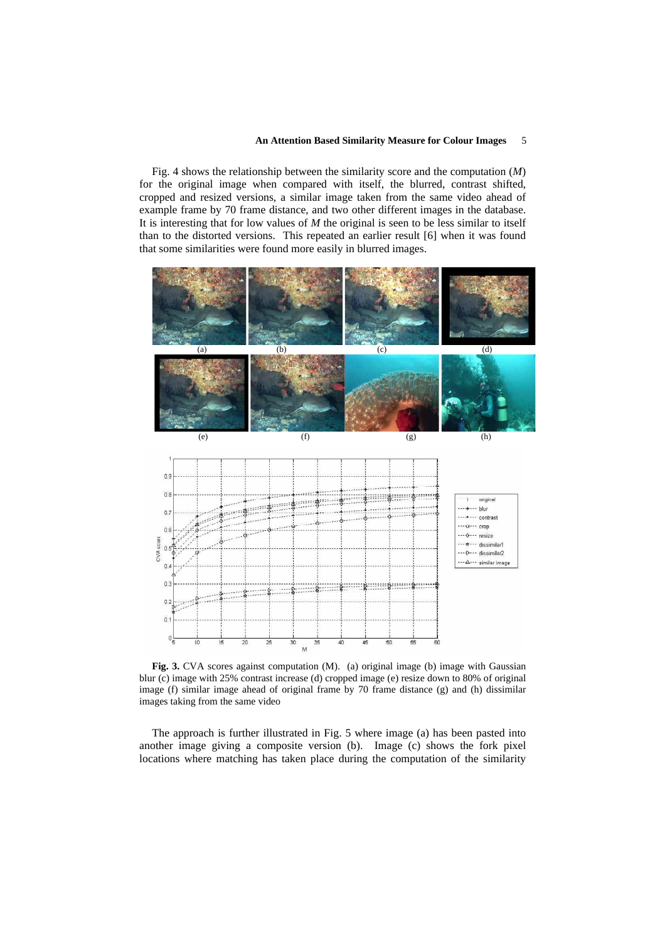Fig. 4 shows the relationship between the similarity score and the computation (*M*) for the original image when compared with itself, the blurred, contrast shifted, cropped and resized versions, a similar image taken from the same video ahead of example frame by 70 frame distance, and two other different images in the database. It is interesting that for low values of *M* the original is seen to be less similar to itself than to the distorted versions. This repeated an earlier result [6] when it was found that some similarities were found more easily in blurred images.



Fig. 3. CVA scores against computation (M). (a) original image (b) image with Gaussian blur (c) image with 25% contrast increase (d) cropped image (e) resize down to 80% of original image (f) similar image ahead of original frame by 70 frame distance (g) and (h) dissimilar images taking from the same video

The approach is further illustrated in Fig. 5 where image (a) has been pasted into another image giving a composite version (b). Image (c) shows the fork pixel locations where matching has taken place during the computation of the similarity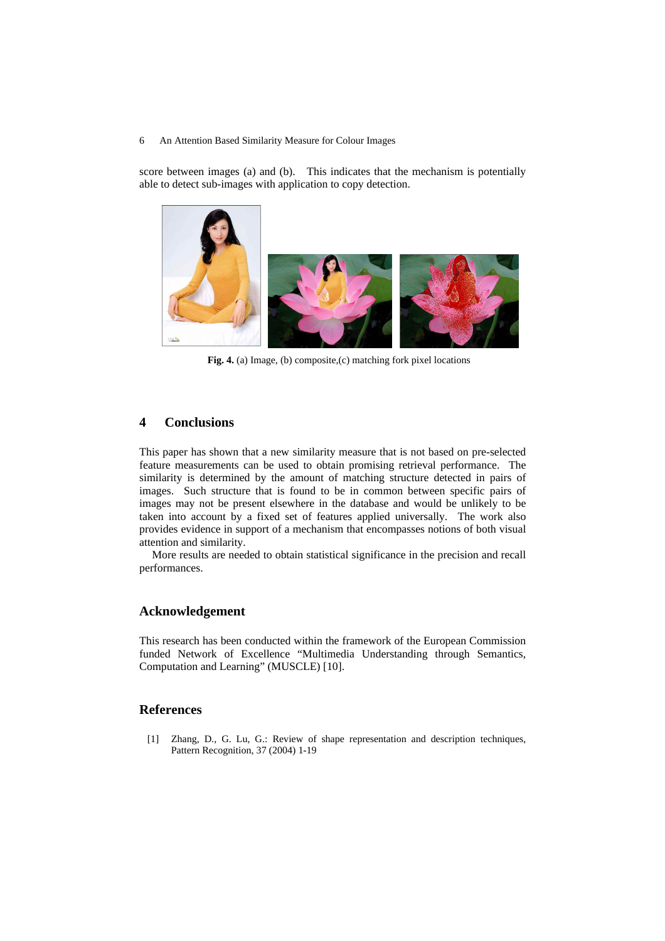score between images (a) and (b). This indicates that the mechanism is potentially able to detect sub-images with application to copy detection.



**Fig. 4.** (a) Image, (b) composite,(c) matching fork pixel locations

# **4 Conclusions**

This paper has shown that a new similarity measure that is not based on pre-selected feature measurements can be used to obtain promising retrieval performance. The similarity is determined by the amount of matching structure detected in pairs of images. Such structure that is found to be in common between specific pairs of images may not be present elsewhere in the database and would be unlikely to be taken into account by a fixed set of features applied universally. The work also provides evidence in support of a mechanism that encompasses notions of both visual attention and similarity.

More results are needed to obtain statistical significance in the precision and recall performances.

# **Acknowledgement**

This research has been conducted within the framework of the European Commission funded Network of Excellence "Multimedia Understanding through Semantics, Computation and Learning" (MUSCLE) [10].

## **References**

[1] Zhang, D., G. Lu, G.: Review of shape representation and description techniques, Pattern Recognition, 37 (2004) 1-19